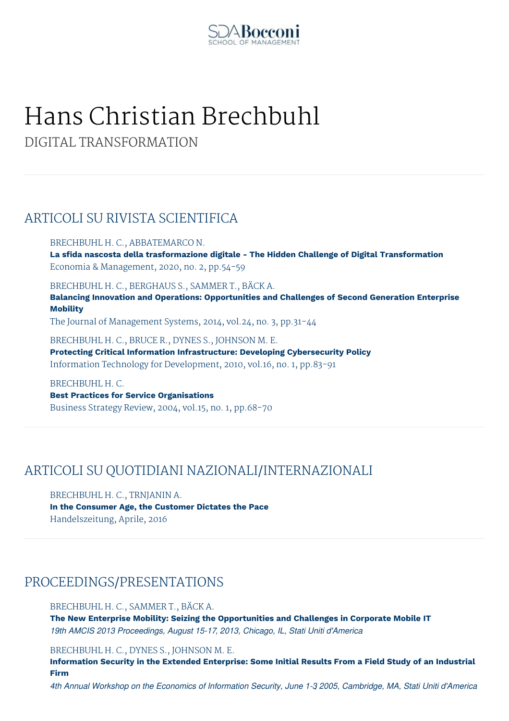

# Hans Christian Brechbuhl

DIGITAL TRANSFORMATION

## ARTICOLI SU RIVISTA SCIENTIFICA

BRECHBUHL H. C., ABBATEMARCO N. **La sfida nascosta della trasformazione digitale - The Hidden Challenge of Digital Transformation** Economia & Management, 2020, no. 2, pp.54-59

BRECHBUHL H. C., BERGHAUS S., SAMMER T., BÄCK A.

**Balancing Innovation and Operations: Opportunities and Challenges of Second Generation Enterprise Mobility**

The Journal of Management Systems, 2014, vol.24, no. 3, pp.31-44

BRECHBUHL H. C., BRUCE R., DYNES S., JOHNSON M. E. **Protecting Critical Information Infrastructure: Developing Cybersecurity Policy** Information Technology for Development, 2010, vol.16, no. 1, pp.83-91

BRECHBUHL H. C. **Best Practices for Service Organisations** Business Strategy Review, 2004, vol.15, no. 1, pp.68-70

## ARTICOLI SU QUOTIDIANI NAZIONALI/INTERNAZIONALI

BRECHBUHL H. C., TRNJANIN A. **In the Consumer Age, the Customer Dictates the Pace** Handelszeitung, Aprile, 2016

## PROCEEDINGS/PRESENTATIONS

BRECHBUHL H. C., SAMMER T., BÄCK A.

**The New Enterprise Mobility: Seizing the Opportunities and Challenges in Corporate Mobile IT** *19th AMCIS 2013 Proceedings, August 15-17, 2013, Chicago, IL, Stati Uniti d'America*

BRECHBUHL H. C., DYNES S., JOHNSON M. E.

**Information Security in the Extended Enterprise: Some Initial Results From a Field Study of an Industrial Firm**

4th Annual Workshop on the Economics of Information Security, June 1-3 2005, Cambridge, MA, Stati Uniti d'America